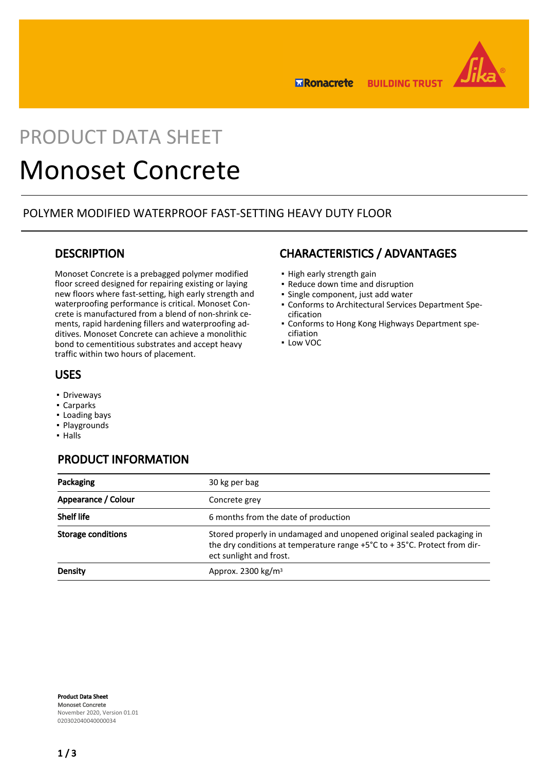

**ERonacrete BUILDING TRUST** 

# PRODUCT DATA SHEFT

# Monoset Concrete

## POLYMER MODIFIED WATERPROOF FAST-SETTING HEAVY DUTY FLOOR

### **DESCRIPTION**

Monoset Concrete is a prebagged polymer modified floor screed designed for repairing existing or laying new floors where fast-setting, high early strength and waterproofing performance is critical. Monoset Concrete is manufactured from a blend of non-shrink cements, rapid hardening fillers and waterproofing additives. Monoset Concrete can achieve a monolithic bond to cementitious substrates and accept heavy traffic within two hours of placement.

## USES

- **Driveways**
- Carparks
- Loading bays
- Playgrounds
- Halls

# PRODUCT INFORMATION

# Packaging 20 kg per bag Appearance / Colour Concrete grey Shelf life 6 months from the date of production Storage conditions Stored properly in undamaged and unopened original sealed packaging in the dry conditions at temperature range +5°C to + 35°C. Protect from direct sunlight and frost. **Density Density Approx. 2300 kg/m<sup>3</sup>**

Product Data Sheet Monoset Concrete November 2020, Version 01.01 020302040040000034

# CHARACTERISTICS / ADVANTAGES

- High early strength gain
- Reduce down time and disruption
- Single component, just add water
- Conforms to Architectural Services Department Spe-▪ cification
- Conforms to Hong Kong Highways Department spe-▪ cifiation
- Low VOC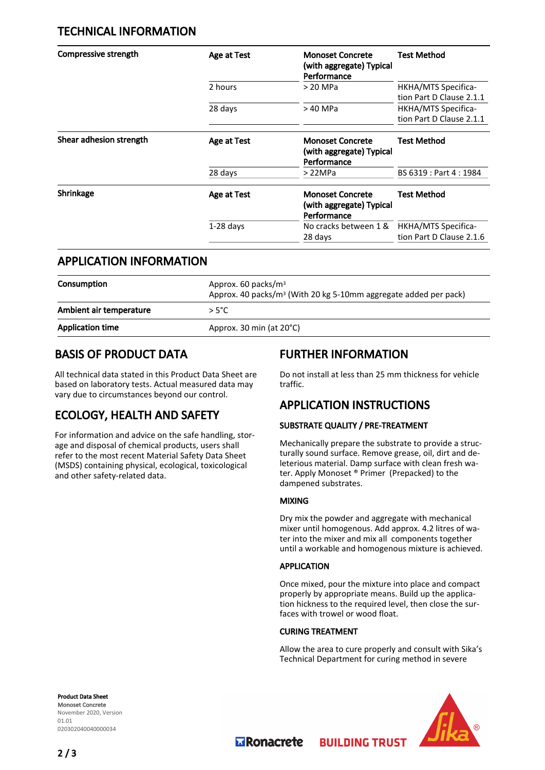# TECHNICAL INFORMATION

| <b>Compressive strength</b> | Age at Test | <b>Monoset Concrete</b><br>(with aggregate) Typical<br>Performance | <b>Test Method</b>                              |
|-----------------------------|-------------|--------------------------------------------------------------------|-------------------------------------------------|
|                             | 2 hours     | > 20 MPa                                                           | HKHA/MTS Specifica-<br>tion Part D Clause 2.1.1 |
|                             | 28 days     | > 40 MPa                                                           | HKHA/MTS Specifica-<br>tion Part D Clause 2.1.1 |
| Shear adhesion strength     | Age at Test | <b>Monoset Concrete</b><br>(with aggregate) Typical<br>Performance | <b>Test Method</b>                              |
|                             | 28 days     | >22MPa                                                             | BS 6319 : Part 4 : 1984                         |
| Shrinkage                   | Age at Test | <b>Monoset Concrete</b><br>(with aggregate) Typical<br>Performance | <b>Test Method</b>                              |
|                             | $1-28$ days | No cracks between 1 &<br>28 days                                   | HKHA/MTS Specifica-<br>tion Part D Clause 2.1.6 |

## APPLICATION INFORMATION

| Consumption             | Approx. 60 packs/ $m3$<br>Approx. 40 packs/m <sup>3</sup> (With 20 kg 5-10mm aggregate added per pack) |  |
|-------------------------|--------------------------------------------------------------------------------------------------------|--|
| Ambient air temperature | $>5^{\circ}$ C                                                                                         |  |
| <b>Application time</b> | Approx. 30 min (at 20°C)                                                                               |  |
|                         |                                                                                                        |  |

# BASIS OF PRODUCT DATA

All technical data stated in this Product Data Sheet are based on laboratory tests. Actual measured data may vary due to circumstances beyond our control.

# ECOLOGY, HEALTH AND SAFETY

For information and advice on the safe handling, storage and disposal of chemical products, users shall refer to the most recent Material Safety Data Sheet (MSDS) containing physical, ecological, toxicological and other safety-related data.

# FURTHER INFORMATION

Do not install at less than 25 mm thickness for vehicle traffic.

# APPLICATION INSTRUCTIONS

### SUBSTRATE QUALITY / PRE-TREATMENT

Mechanically prepare the substrate to provide a structurally sound surface. Remove grease, oil, dirt and deleterious material. Damp surface with clean fresh water. Apply Monoset ® Primer (Prepacked) to the dampened substrates.

### MIXING

Dry mix the powder and aggregate with mechanical mixer until homogenous. Add approx. 4.2 litres of water into the mixer and mix all components together until a workable and homogenous mixture is achieved.

### APPLICATION

Once mixed, pour the mixture into place and compact properly by appropriate means. Build up the application hickness to the required level, then close the surfaces with trowel or wood float.

### CURING TREATMENT

Allow the area to cure properly and consult with Sika's Technical Department for curing method in severe

**BUILDING TRUST** 





**Transporter**